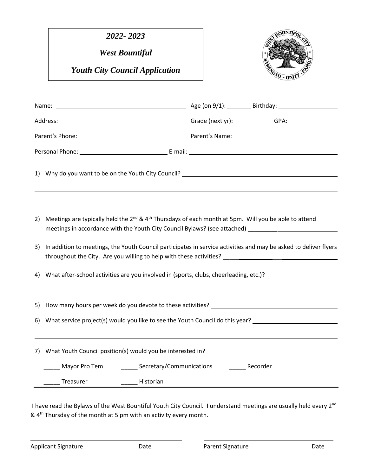*2022- 2023*

*West Bountiful* 

*Youth City Council Application*



| Name: |                                                                                                                                                                                                                  | Age (on 9/1): Birthday: 2010 2021 2022 2023 2024 2024 2022 2024 2022 2024 2022 2024 2022 2022 2024 2022 2022 20  |  |
|-------|------------------------------------------------------------------------------------------------------------------------------------------------------------------------------------------------------------------|------------------------------------------------------------------------------------------------------------------|--|
|       |                                                                                                                                                                                                                  |                                                                                                                  |  |
|       |                                                                                                                                                                                                                  |                                                                                                                  |  |
|       |                                                                                                                                                                                                                  |                                                                                                                  |  |
|       | 1) Why do you want to be on the Youth City Council? The manufacturer of the state of the state of the state of                                                                                                   |                                                                                                                  |  |
| 2)    | Meetings are typically held the $2^{nd}$ & 4 <sup>th</sup> Thursdays of each month at 5pm. Will you be able to attend<br>meetings in accordance with the Youth City Council Bylaws? (see attached) _____________ |                                                                                                                  |  |
| 3)    |                                                                                                                                                                                                                  | In addition to meetings, the Youth Council participates in service activities and may be asked to deliver flyers |  |
| 4)    | What after-school activities are you involved in (sports, clubs, cheerleading, etc.)?                                                                                                                            |                                                                                                                  |  |
| 5)    |                                                                                                                                                                                                                  |                                                                                                                  |  |
|       |                                                                                                                                                                                                                  | 6) What service project(s) would you like to see the Youth Council do this year? ___________________             |  |
|       | 7) What Youth Council position(s) would you be interested in?                                                                                                                                                    |                                                                                                                  |  |
|       | _______ Secretary/Communications<br>Mayor Pro Tem                                                                                                                                                                | Recorder                                                                                                         |  |
|       | Treasurer<br>Historian                                                                                                                                                                                           |                                                                                                                  |  |

I have read the Bylaws of the West Bountiful Youth City Council. I understand meetings are usually held every 2<sup>nd</sup> & 4th Thursday of the month at 5 pm with an activity every month.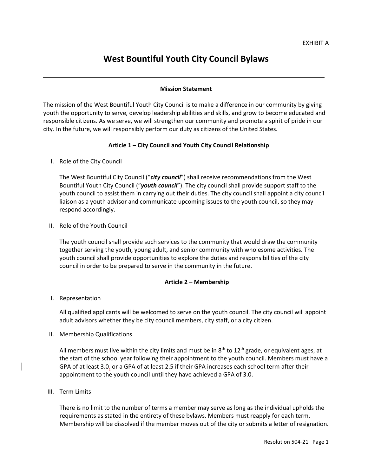# **West Bountiful Youth City Council Bylaws**

# **Mission Statement**

The mission of the West Bountiful Youth City Council is to make a difference in our community by giving youth the opportunity to serve, develop leadership abilities and skills, and grow to become educated and responsible citizens. As we serve, we will strengthen our community and promote a spirit of pride in our city. In the future, we will responsibly perform our duty as citizens of the United States.

# **Article 1 – City Council and Youth City Council Relationship**

I. Role of the City Council

The West Bountiful City Council ("*city council*") shall receive recommendations from the West Bountiful Youth City Council ("*youth council*"). The city council shall provide support staff to the youth council to assist them in carrying out their duties. The city council shall appoint a city council liaison as a youth advisor and communicate upcoming issues to the youth council, so they may respond accordingly.

II. Role of the Youth Council

The youth council shall provide such services to the community that would draw the community together serving the youth, young adult, and senior community with wholesome activities. The youth council shall provide opportunities to explore the duties and responsibilities of the city council in order to be prepared to serve in the community in the future.

# **Article 2 – Membership**

# I. Representation

All qualified applicants will be welcomed to serve on the youth council. The city council will appoint adult advisors whether they be city council members, city staff, or a city citizen.

II. Membership Qualifications

All members must live within the city limits and must be in  $8<sup>th</sup>$  to  $12<sup>th</sup>$  grade, or equivalent ages, at the start of the school year following their appointment to the youth council. Members must have a GPA of at least 3.0, or a GPA of at least 2.5 if their GPA increases each school term after their appointment to the youth council until they have achieved a GPA of 3.0.

III. Term Limits

There is no limit to the number of terms a member may serve as long as the individual upholds the requirements as stated in the entirety of these bylaws. Members must reapply for each term. Membership will be dissolved if the member moves out of the city or submits a letter of resignation.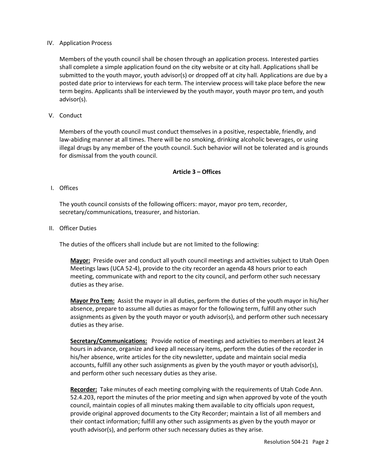## IV. Application Process

Members of the youth council shall be chosen through an application process. Interested parties shall complete a simple application found on the city website or at city hall. Applications shall be submitted to the youth mayor, youth advisor(s) or dropped off at city hall. Applications are due by a posted date prior to interviews for each term. The interview process will take place before the new term begins. Applicants shall be interviewed by the youth mayor, youth mayor pro tem, and youth advisor(s).

V. Conduct

Members of the youth council must conduct themselves in a positive, respectable, friendly, and law-abiding manner at all times. There will be no smoking, drinking alcoholic beverages, or using illegal drugs by any member of the youth council. Such behavior will not be tolerated and is grounds for dismissal from the youth council.

#### **Article 3 – Offices**

## I. Offices

The youth council consists of the following officers: mayor, mayor pro tem, recorder, secretary/communications, treasurer, and historian.

II. Officer Duties

The duties of the officers shall include but are not limited to the following:

**Mayor:** Preside over and conduct all youth council meetings and activities subject to Utah Open Meetings laws (UCA 52-4), provide to the city recorder an agenda 48 hours prior to each meeting, communicate with and report to the city council, and perform other such necessary duties as they arise.

**Mayor Pro Tem:** Assist the mayor in all duties, perform the duties of the youth mayor in his/her absence, prepare to assume all duties as mayor for the following term, fulfill any other such assignments as given by the youth mayor or youth advisor(s), and perform other such necessary duties as they arise.

**Secretary/Communications:** Provide notice of meetings and activities to members at least 24 hours in advance, organize and keep all necessary items, perform the duties of the recorder in his/her absence, write articles for the city newsletter, update and maintain social media accounts, fulfill any other such assignments as given by the youth mayor or youth advisor(s), and perform other such necessary duties as they arise.

**Recorder:** Take minutes of each meeting complying with the requirements of Utah Code Ann. 52.4.203, report the minutes of the prior meeting and sign when approved by vote of the youth council, maintain copies of all minutes making them available to city officials upon request, provide original approved documents to the City Recorder; maintain a list of all members and their contact information; fulfill any other such assignments as given by the youth mayor or youth advisor(s), and perform other such necessary duties as they arise.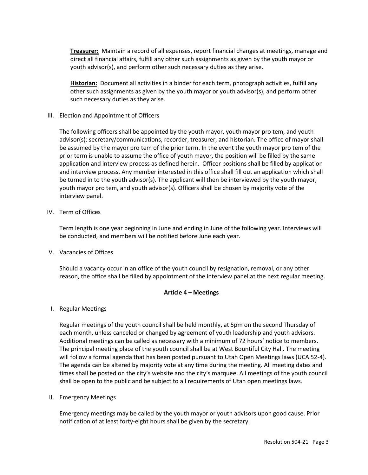**Treasurer:** Maintain a record of all expenses, report financial changes at meetings, manage and direct all financial affairs, fulfill any other such assignments as given by the youth mayor or youth advisor(s), and perform other such necessary duties as they arise.

**Historian:** Document all activities in a binder for each term, photograph activities, fulfill any other such assignments as given by the youth mayor or youth advisor(s), and perform other such necessary duties as they arise.

III. Election and Appointment of Officers

The following officers shall be appointed by the youth mayor, youth mayor pro tem, and youth advisor(s): secretary/communications, recorder, treasurer, and historian. The office of mayor shall be assumed by the mayor pro tem of the prior term. In the event the youth mayor pro tem of the prior term is unable to assume the office of youth mayor, the position will be filled by the same application and interview process as defined herein. Officer positions shall be filled by application and interview process. Any member interested in this office shall fill out an application which shall be turned in to the youth advisor(s). The applicant will then be interviewed by the youth mayor, youth mayor pro tem, and youth advisor(s). Officers shall be chosen by majority vote of the interview panel.

IV. Term of Offices

Term length is one year beginning in June and ending in June of the following year. Interviews will be conducted, and members will be notified before June each year.

V. Vacancies of Offices

Should a vacancy occur in an office of the youth council by resignation, removal, or any other reason, the office shall be filled by appointment of the interview panel at the next regular meeting.

#### **Article 4 – Meetings**

I. Regular Meetings

Regular meetings of the youth council shall be held monthly, at 5pm on the second Thursday of each month, unless canceled or changed by agreement of youth leadership and youth advisors. Additional meetings can be called as necessary with a minimum of 72 hours' notice to members. The principal meeting place of the youth council shall be at West Bountiful City Hall. The meeting will follow a formal agenda that has been posted pursuant to Utah Open Meetings laws (UCA 52-4). The agenda can be altered by majority vote at any time during the meeting. All meeting dates and times shall be posted on the city's website and the city's marquee. All meetings of the youth council shall be open to the public and be subject to all requirements of Utah open meetings laws.

II. Emergency Meetings

Emergency meetings may be called by the youth mayor or youth advisors upon good cause. Prior notification of at least forty-eight hours shall be given by the secretary.